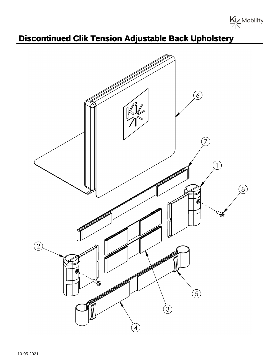Kiz Mobility

## **Discontinued Clik Tension Adjustable Back Upholstery**

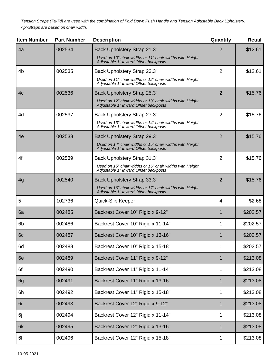Tension Straps (7a-7d) are used with the combination of Fold Down Push Handle and Tension Adjustable Back Upholstery. <p>Straps are based on chair width.

| <b>Item Number</b> | <b>Part Number</b> | <b>Description</b>                                                                                | Quantity       | <b>Retail</b> |
|--------------------|--------------------|---------------------------------------------------------------------------------------------------|----------------|---------------|
| 4a                 | 002534             | Back Upholstery Strap 21.3"                                                                       | 2              | \$12.61       |
|                    |                    | Used on 10" chair widths or 11" chair widths with Height<br>Adjustable 1" Inward Offset backposts |                |               |
| 4 <sub>b</sub>     | 002535             | Back Upholstery Strap 23.3"                                                                       | $\overline{2}$ | \$12.61       |
|                    |                    | Used on 11" chair widths or 12" chair widths with Height<br>Adjustable 1" Inward Offset backposts |                |               |
| 4 <sub>c</sub>     | 002536             | Back Upholstery Strap 25.3"                                                                       | 2              | \$15.76       |
|                    |                    | Used on 12" chair widths or 13" chair widths with Height<br>Adjustable 1" Inward Offset backposts |                |               |
| 4d                 | 002537             | Back Upholstery Strap 27.3"                                                                       | $\overline{2}$ | \$15.76       |
|                    |                    | Used on 13" chair widths or 14" chair widths with Height<br>Adjustable 1" Inward Offset backposts |                |               |
| 4e                 | 002538             | Back Upholstery Strap 29.3"                                                                       | 2              | \$15.76       |
|                    |                    | Used on 14" chair widths or 15" chair widths with Height<br>Adjustable 1" Inward Offset backposts |                |               |
| 4f                 | 002539             | Back Upholstery Strap 31.3"                                                                       | $\overline{2}$ | \$15.76       |
|                    |                    | Used on 15" chair widths or 16" chair widths with Height<br>Adjustable 1" Inward Offset backposts |                |               |
| 4g                 | 002540             | Back Upholstery Strap 33.3"                                                                       | $\overline{2}$ | \$15.76       |
|                    |                    | Used on 16" chair widths or 17" chair widths with Height<br>Adjustable 1" Inward Offset backposts |                |               |
| 5                  | 102736             | Quick-Slip Keeper                                                                                 | 4              | \$2.68        |
| 6a                 | 002485             | Backrest Cover 10" Rigid x 9-12"                                                                  | 1              | \$202.57      |
| 6 <sub>b</sub>     | 002486             | Backrest Cover 10" Rigid x 11-14"                                                                 | 1              | \$202.57      |
| 6c                 | 002487             | Backrest Cover 10" Rigid x 13-16"                                                                 |                | \$202.57      |
| 6d                 | 002488             | Backrest Cover 10" Rigid x 15-18"                                                                 | 1              | \$202.57      |
| 6e                 | 002489             | Backrest Cover 11" Rigid x 9-12"                                                                  | 1              | \$213.08      |
| 6f                 | 002490             | Backrest Cover 11" Rigid x 11-14"                                                                 | 1              | \$213.08      |
| 6g                 | 002491             | Backrest Cover 11" Rigid x 13-16"                                                                 | 1              | \$213.08      |
| 6h                 | 002492             | Backrest Cover 11" Rigid x 15-18"                                                                 | 1              | \$213.08      |
| 6i                 | 002493             | Backrest Cover 12" Rigid x 9-12"                                                                  | 1              | \$213.08      |
| 6j                 | 002494             | Backrest Cover 12" Rigid x 11-14"                                                                 | 1              | \$213.08      |
| 6k                 | 002495             | Backrest Cover 12" Rigid x 13-16"                                                                 | 1              | \$213.08      |
| 61                 | 002496             | Backrest Cover 12" Rigid x 15-18"                                                                 | 1              | \$213.08      |